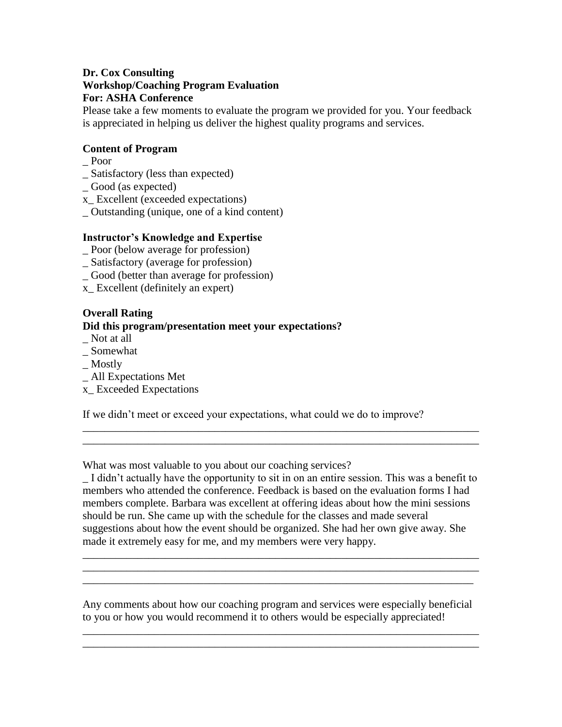## **Dr. Cox Consulting Workshop/Coaching Program Evaluation For: ASHA Conference**

Please take a few moments to evaluate the program we provided for you. Your feedback is appreciated in helping us deliver the highest quality programs and services.

## **Content of Program**

- \_ Poor
- \_ Satisfactory (less than expected)
- \_ Good (as expected)
- x\_ Excellent (exceeded expectations)
- \_ Outstanding (unique, one of a kind content)

## **Instructor's Knowledge and Expertise**

- \_ Poor (below average for profession)
- \_ Satisfactory (average for profession)
- \_ Good (better than average for profession)
- x\_ Excellent (definitely an expert)

## **Overall Rating Did this program/presentation meet your expectations?**

- \_ Not at all
- \_ Somewhat
- \_ Mostly
- \_ All Expectations Met
- x\_ Exceeded Expectations

If we didn't meet or exceed your expectations, what could we do to improve?

What was most valuable to you about our coaching services?

\_ I didn't actually have the opportunity to sit in on an entire session. This was a benefit to members who attended the conference. Feedback is based on the evaluation forms I had members complete. Barbara was excellent at offering ideas about how the mini sessions should be run. She came up with the schedule for the classes and made several suggestions about how the event should be organized. She had her own give away. She made it extremely easy for me, and my members were very happy.

\_\_\_\_\_\_\_\_\_\_\_\_\_\_\_\_\_\_\_\_\_\_\_\_\_\_\_\_\_\_\_\_\_\_\_\_\_\_\_\_\_\_\_\_\_\_\_\_\_\_\_\_\_\_\_\_\_\_\_\_\_\_\_\_\_\_\_\_\_\_\_\_ \_\_\_\_\_\_\_\_\_\_\_\_\_\_\_\_\_\_\_\_\_\_\_\_\_\_\_\_\_\_\_\_\_\_\_\_\_\_\_\_\_\_\_\_\_\_\_\_\_\_\_\_\_\_\_\_\_\_\_\_\_\_\_\_\_\_\_\_\_\_\_\_ \_\_\_\_\_\_\_\_\_\_\_\_\_\_\_\_\_\_\_\_\_\_\_\_\_\_\_\_\_\_\_\_\_\_\_\_\_\_\_\_\_\_\_\_\_\_\_\_\_\_\_\_\_\_\_\_\_\_\_\_\_\_\_\_\_\_\_\_\_\_\_

\_\_\_\_\_\_\_\_\_\_\_\_\_\_\_\_\_\_\_\_\_\_\_\_\_\_\_\_\_\_\_\_\_\_\_\_\_\_\_\_\_\_\_\_\_\_\_\_\_\_\_\_\_\_\_\_\_\_\_\_\_\_\_\_\_\_\_\_\_\_\_\_ \_\_\_\_\_\_\_\_\_\_\_\_\_\_\_\_\_\_\_\_\_\_\_\_\_\_\_\_\_\_\_\_\_\_\_\_\_\_\_\_\_\_\_\_\_\_\_\_\_\_\_\_\_\_\_\_\_\_\_\_\_\_\_\_\_\_\_\_\_\_\_\_

Any comments about how our coaching program and services were especially beneficial to you or how you would recommend it to others would be especially appreciated!

\_\_\_\_\_\_\_\_\_\_\_\_\_\_\_\_\_\_\_\_\_\_\_\_\_\_\_\_\_\_\_\_\_\_\_\_\_\_\_\_\_\_\_\_\_\_\_\_\_\_\_\_\_\_\_\_\_\_\_\_\_\_\_\_\_\_\_\_\_\_\_\_ \_\_\_\_\_\_\_\_\_\_\_\_\_\_\_\_\_\_\_\_\_\_\_\_\_\_\_\_\_\_\_\_\_\_\_\_\_\_\_\_\_\_\_\_\_\_\_\_\_\_\_\_\_\_\_\_\_\_\_\_\_\_\_\_\_\_\_\_\_\_\_\_